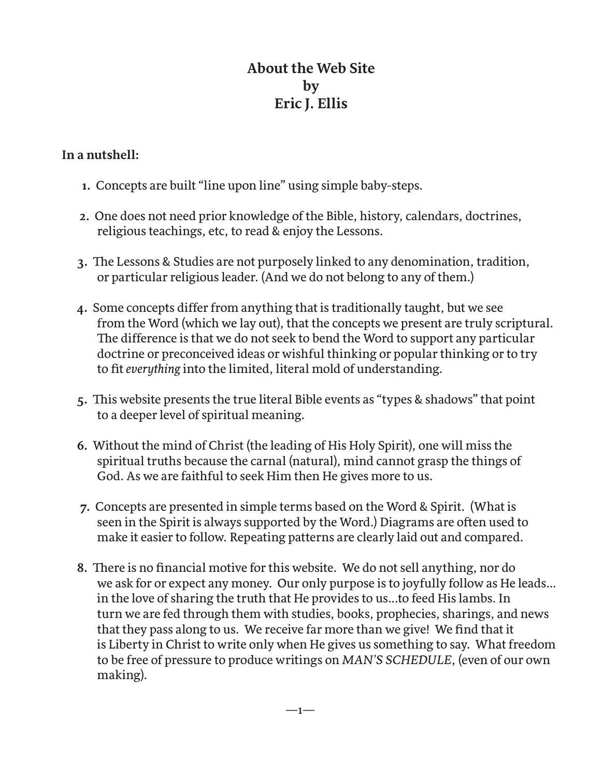## **About the Web Site by Eric J. Ellis**

## **In a nutshell:**

- **1.** Concepts are built "line upon line" using simple baby-steps.
- **2.** One does not need prior knowledge of the Bible, history, calendars, doctrines, religious teachings, etc, to read & enjoy the Lessons.
- **3.** The Lessons & Studies are not purposely linked to any denomination, tradition, or particular religious leader. (And we do not belong to any of them.)
- **4.** Some concepts differ from anything that is traditionally taught, but we see from the Word (which we lay out), that the concepts we present are truly scriptural. The difference is that we do not seek to bend the Word to support any particular doctrine or preconceived ideas or wishful thinking or popular thinking or to try to fit *everything* into the limited, literal mold of understanding.
- **5.** This website presents the true literal Bible events as "types & shadows" that point to a deeper level of spiritual meaning.
- **6.** Without the mind of Christ (the leading of His Holy Spirit), one will miss the spiritual truths because the carnal (natural), mind cannot grasp the things of God. As we are faithful to seek Him then He gives more to us.
- **7.** Concepts are presented in simple terms based on the Word & Spirit. (What is seen in the Spirit is always supported by the Word.) Diagrams are often used to make it easier to follow. Repeating patterns are clearly laid out and compared.
- **8.** There is no financial motive for this website. We do not sell anything, nor do we ask for or expect any money. Our only purpose is to joyfully follow as He leads... in the love of sharing the truth that He provides to us...to feed His lambs. In turn we are fed through them with studies, books, prophecies, sharings, and news that they pass along to us. We receive far more than we give! We find that it is Liberty in Christ to write only when He gives us something to say. What freedom to be free of pressure to produce writings on *MAN'S SCHEDULE*, (even of our own making).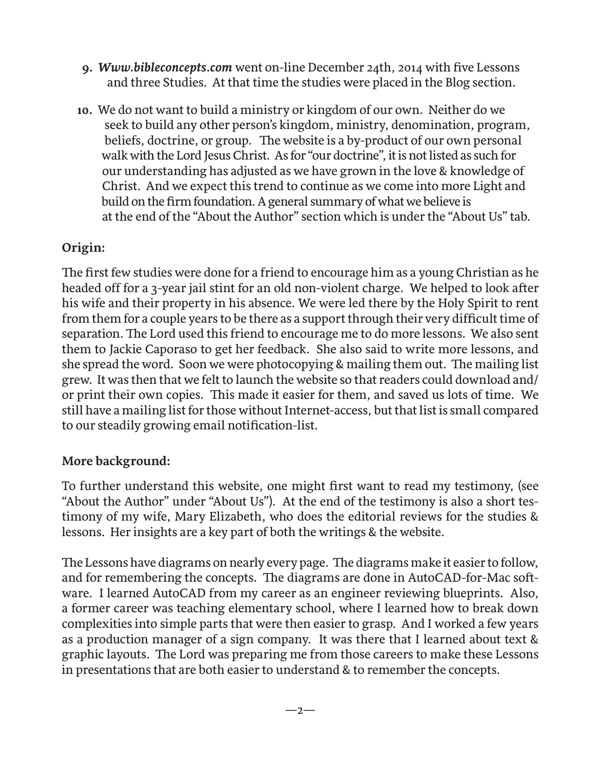- **9.** *Www.bibleconcepts.com* went on-line December 24th, 2014 with five Lessons and three Studies. At that time the studies were placed in the Blog section.
- **10.** We do not want to build a ministry or kingdom of our own. Neither do we seek to build any other person's kingdom, ministry, denomination, program, beliefs, doctrine, or group. The website is a by-product of our own personal walk with the Lord Jesus Christ. As for "our doctrine", it is not listed as such for our understanding has adjusted as we have grown in the love & knowledge of Christ. And we expect this trend to continue as we come into more Light and build on the firm foundation. A general summary of what we believe is at the end of the "About the Author" section which is under the "About Us" tab.

## **Origin:**

The first few studies were done for a friend to encourage him as a young Christian as he headed off for a 3-year jail stint for an old non-violent charge. We helped to look after his wife and their property in his absence. We were led there by the Holy Spirit to rent from them for a couple years to be there as a support through their very difficult time of separation. The Lord used this friend to encourage me to do more lessons. We also sent them to Jackie Caporaso to get her feedback. She also said to write more lessons, and she spread the word. Soon we were photocopying & mailing them out. The mailing list grew. It was then that we felt to launch the website so that readers could download and/ or print their own copies. This made it easier for them, and saved us lots of time. We still have a mailing list for those without Internet-access, but that list is small compared to our steadily growing email notification-list.

## **More background:**

To further understand this website, one might first want to read my testimony, (see "About the Author" under "About Us"). At the end of the testimony is also a short testimony of my wife, Mary Elizabeth, who does the editorial reviews for the studies & lessons. Her insights are a key part of both the writings & the website.

The Lessons have diagrams on nearly every page. The diagrams make it easier to follow, and for remembering the concepts. The diagrams are done in AutoCAD-for-Mac software. I learned AutoCAD from my career as an engineer reviewing blueprints. Also, a former career was teaching elementary school, where I learned how to break down complexities into simple parts that were then easier to grasp. And I worked a few years as a production manager of a sign company. It was there that I learned about text & graphic layouts. The Lord was preparing me from those careers to make these Lessons in presentations that are both easier to understand & to remember the concepts.